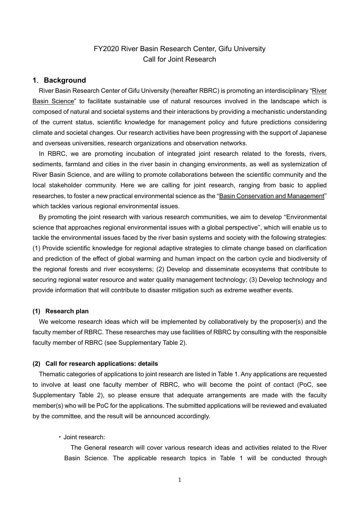# FY2020 River Basin Research Center, Gifu University Call for Joint Research

#### **1**.**Background**

River Basin Research Center of Gifu University (hereafter RBRC) is promoting an interdisciplinary "River Basin Science" to facilitate sustainable use of natural resources involved in the landscape which is composed of natural and societal systems and their interactions by providing a mechanistic understanding of the current status, scientific knowledge for management policy and future predictions considering climate and societal changes. Our research activities have been progressing with the support of Japanese and overseas universities, research organizations and observation networks.

In RBRC, we are promoting incubation of integrated joint research related to the forests, rivers, sediments, farmland and cities in the river basin in changing environments, as well as systemization of River Basin Science, and are willing to promote collaborations between the scientific community and the local stakeholder community. Here we are calling for joint research, ranging from basic to applied researches, to foster a new practical environmental science as the "Basin Conservation and Management" which tackles various regional environmental issues.

By promoting the joint research with various research communities, we aim to develop "Environmental science that approaches regional environmental issues with a global perspective", which will enable us to tackle the environmental issues faced by the river basin systems and society with the following strategies: (1) Provide scientific knowledge for regional adaptive strategies to climate change based on clarification and prediction of the effect of global warming and human impact on the carbon cycle and biodiversity of the regional forests and river ecosystems; (2) Develop and disseminate ecosystems that contribute to securing regional water resource and water quality management technology; (3) Develop technology and provide information that will contribute to disaster mitigation such as extreme weather events.

#### **(1) Research plan**

We welcome research ideas which will be implemented by collaboratively by the proposer(s) and the faculty member of RBRC. These researches may use facilities of RBRC by consulting with the responsible faculty member of RBRC (see Supplementary Table 2).

#### **(2) Call for research applications: details**

Thematic categories of applications to joint research are listed in Table 1. Any applications are requested to involve at least one faculty member of RBRC, who will become the point of contact (PoC, see Supplementary Table 2), so please ensure that adequate arrangements are made with the faculty member(s) who will be PoC for the applications. The submitted applications will be reviewed and evaluated by the committee, and the result will be announced accordingly.

#### • Joint research:

The General research will cover various research ideas and activities related to the River Basin Science. The applicable research topics in Table 1 will be conducted through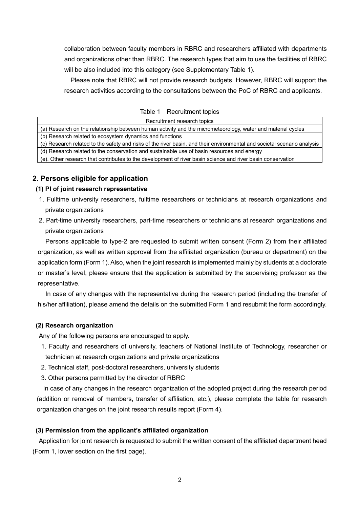collaboration between faculty members in RBRC and researchers affiliated with departments and organizations other than RBRC. The research types that aim to use the facilities of RBRC will be also included into this category (see Supplementary Table 1).

Please note that RBRC will not provide research budgets. However, RBRC will support the research activities according to the consultations between the PoC of RBRC and applicants.

| Table 1 | Recruitment topics |
|---------|--------------------|
|---------|--------------------|

| Recruitment research topics                                                                                             |  |  |  |
|-------------------------------------------------------------------------------------------------------------------------|--|--|--|
| (a) Research on the relationship between human activity and the micrometeorology, water and material cycles             |  |  |  |
| (b) Research related to ecosystem dynamics and functions                                                                |  |  |  |
| (c) Research related to the safety and risks of the river basin, and their environmental and societal scenario analysis |  |  |  |
| (d) Research related to the conservation and sustainable use of basin resources and energy                              |  |  |  |
| (e). Other research that contributes to the development of river basin science and river basin conservation             |  |  |  |

# **2. Persons eligible for application**

#### **(1) PI of joint research representative**

- 1. Fulltime university researchers, fulltime researchers or technicians at research organizations and private organizations
- 2. Part-time university researchers, part-time researchers or technicians at research organizations and private organizations

Persons applicable to type-2 are requested to submit written consent (Form 2) from their affiliated organization, as well as written approval from the affiliated organization (bureau or department) on the application form (Form 1). Also, when the joint research is implemented mainly by students at a doctorate or master's level, please ensure that the application is submitted by the supervising professor as the representative.

In case of any changes with the representative during the research period (including the transfer of his/her affiliation), please amend the details on the submitted Form 1 and resubmit the form accordingly.

#### **(2) Research organization**

Any of the following persons are encouraged to apply.

- 1. Faculty and researchers of university, teachers of National Institute of Technology, researcher or technician at research organizations and private organizations
- 2. Technical staff, post-doctoral researchers, university students
- 3. Other persons permitted by the director of RBRC

In case of any changes in the research organization of the adopted project during the research period (addition or removal of members, transfer of affiliation, etc.), please complete the table for research organization changes on the joint research results report (Form 4).

#### **(3) Permission from the applicant's affiliated organization**

Application for joint research is requested to submit the written consent of the affiliated department head (Form 1, lower section on the first page).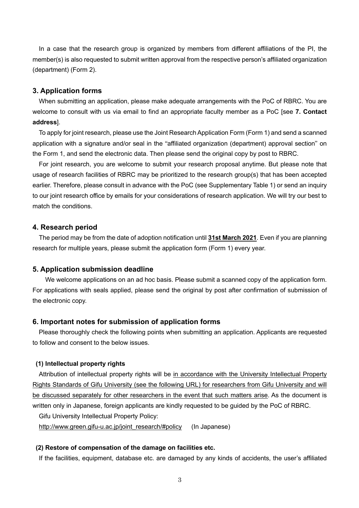In a case that the research group is organized by members from different affiliations of the PI, the member(s) is also requested to submit written approval from the respective person's affiliated organization (department) (Form 2).

#### **3. Application forms**

When submitting an application, please make adequate arrangements with the PoC of RBRC. You are welcome to consult with us via email to find an appropriate faculty member as a PoC [see **7. Contact address**].

To apply for joint research, please use the Joint Research Application Form (Form 1) and send a scanned application with a signature and/or seal in the "affiliated organization (department) approval section" on the Form 1, and send the electronic data. Then please send the original copy by post to RBRC.

For joint research, you are welcome to submit your research proposal anytime. But please note that usage of research facilities of RBRC may be prioritized to the research group(s) that has been accepted earlier. Therefore, please consult in advance with the PoC (see Supplementary Table 1) or send an inquiry to our joint research office by emails for your considerations of research application. We will try our best to match the conditions.

## **4. Research period**

The period may be from the date of adoption notification until **31st March 2021**. Even if you are planning research for multiple years, please submit the application form (Form 1) every year.

#### **5. Application submission deadline**

 We welcome applications on an ad hoc basis. Please submit a scanned copy of the application form. For applications with seals applied, please send the original by post after confirmation of submission of the electronic copy.

#### **6. Important notes for submission of application forms**

Please thoroughly check the following points when submitting an application. Applicants are requested to follow and consent to the below issues.

#### **(1) Intellectual property rights**

Attribution of intellectual property rights will be in accordance with the University Intellectual Property Rights Standards of Gifu University (see the following URL) for researchers from Gifu University and will be discussed separately for other researchers in the event that such matters arise. As the document is written only in Japanese, foreign applicants are kindly requested to be guided by the PoC of RBRC.

Gifu University Intellectual Property Policy:

http://www.green.gifu-u.ac.jp/joint\_research/#policy (In Japanese)

## **(2) Restore of compensation of the damage on facilities etc.**

If the facilities, equipment, database etc. are damaged by any kinds of accidents, the user's affiliated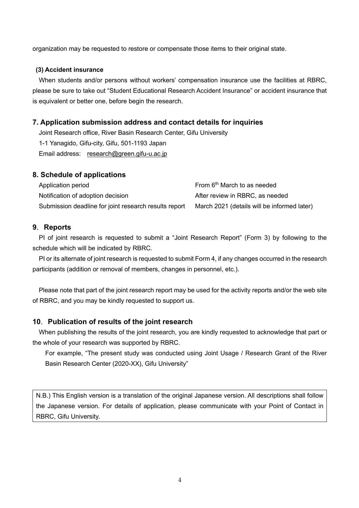organization may be requested to restore or compensate those items to their original state.

#### **(3) Accident insurance**

When students and/or persons without workers' compensation insurance use the facilities at RBRC, please be sure to take out "Student Educational Research Accident Insurance" or accident insurance that is equivalent or better one, before begin the research.

# **7. Application submission address and contact details for inquiries**

Joint Research office, River Basin Research Center, Gifu University 1-1 Yanagido, Gifu-city, Gifu, 501-1193 Japan Email address: research@green.gifu-u.ac.jp

# **8. Schedule of applications**

| Application period                                    | From 6 <sup>th</sup> March to as needed     |
|-------------------------------------------------------|---------------------------------------------|
| Notification of adoption decision                     | After review in RBRC, as needed             |
| Submission deadline for joint research results report | March 2021 (details will be informed later) |

# **9**.**Reports**

PI of joint research is requested to submit a "Joint Research Report" (Form 3) by following to the schedule which will be indicated by RBRC.

PI or its alternate of joint research is requested to submit Form 4, if any changes occurred in the research participants (addition or removal of members, changes in personnel, etc.).

Please note that part of the joint research report may be used for the activity reports and/or the web site of RBRC, and you may be kindly requested to support us.

# **10**.**Publication of results of the joint research**

When publishing the results of the joint research, you are kindly requested to acknowledge that part or the whole of your research was supported by RBRC.

For example, "The present study was conducted using Joint Usage / Research Grant of the River Basin Research Center (2020-XX), Gifu University"

N.B.) This English version is a translation of the original Japanese version. All descriptions shall follow the Japanese version. For details of application, please communicate with your Point of Contact in RBRC, Gifu University.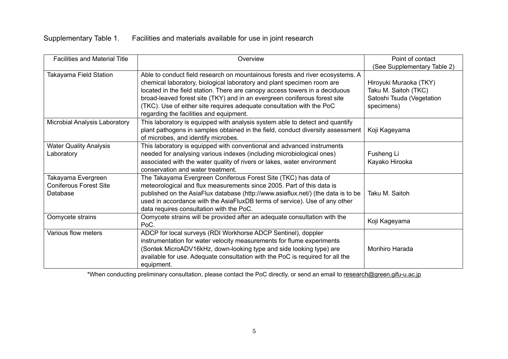# Supplementary Table 1. Facilities and materials available for use in joint research

| <b>Facilities and Material Title</b>                            | Overview                                                                                                                                                                                                                                                                                                                                                                                                                                | Point of contact<br>(See Supplementary Table 2)                                           |  |  |
|-----------------------------------------------------------------|-----------------------------------------------------------------------------------------------------------------------------------------------------------------------------------------------------------------------------------------------------------------------------------------------------------------------------------------------------------------------------------------------------------------------------------------|-------------------------------------------------------------------------------------------|--|--|
| Takayama Field Station                                          | Able to conduct field research on mountainous forests and river ecosystems. A<br>chemical laboratory, biological laboratory and plant specimen room are<br>located in the field station. There are canopy access towers in a deciduous<br>broad-leaved forest site (TKY) and in an evergreen coniferous forest site<br>(TKC). Use of either site requires adequate consultation with the PoC<br>regarding the facilities and equipment. | Hiroyuki Muraoka (TKY)<br>Taku M. Saitoh (TKC)<br>Satoshi Tsuda (Vegetation<br>specimens) |  |  |
| Microbial Analysis Laboratory                                   | This laboratory is equipped with analysis system able to detect and quantify<br>plant pathogens in samples obtained in the field, conduct diversity assessment<br>of microbes, and identify microbes.                                                                                                                                                                                                                                   | Koji Kageyama                                                                             |  |  |
| <b>Water Quality Analysis</b><br>Laboratory                     | This laboratory is equipped with conventional and advanced instruments<br>needed for analysing various indexes (including microbiological ones)<br>associated with the water quality of rivers or lakes, water environment<br>conservation and water treatment.                                                                                                                                                                         | Fusheng Li<br>Kayako Hirooka                                                              |  |  |
| Takayama Evergreen<br><b>Coniferous Forest Site</b><br>Database | The Takayama Evergreen Coniferous Forest Site (TKC) has data of<br>meteorological and flux measurements since 2005. Part of this data is<br>published on the AsiaFlux database (http://www.asiaflux.net/) (the data is to be<br>used in accordance with the AsiaFluxDB terms of service). Use of any other<br>data requires consultation with the PoC.                                                                                  | Taku M. Saitoh                                                                            |  |  |
| Oomycete strains                                                | Oomycete strains will be provided after an adequate consultation with the<br>PoC.                                                                                                                                                                                                                                                                                                                                                       | Koji Kageyama                                                                             |  |  |
| Various flow meters                                             | ADCP for local surveys (RDI Workhorse ADCP Sentinel), doppler<br>instrumentation for water velocity measurements for flume experiments<br>(Sontek MicroADV16kHz, down-looking type and side looking type) are<br>available for use. Adequate consultation with the PoC is required for all the<br>equipment.                                                                                                                            | Morihiro Harada                                                                           |  |  |

\*When conducting preliminary consultation, please contact the PoC directly, or send an email to research@green.gifu-u.ac.jp